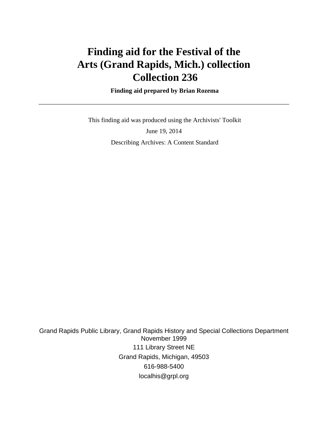# **Finding aid for the Festival of the Arts (Grand Rapids, Mich.) collection Collection 236**

 **Finding aid prepared by Brian Rozema**

 This finding aid was produced using the Archivists' Toolkit June 19, 2014 Describing Archives: A Content Standard

Grand Rapids Public Library, Grand Rapids History and Special Collections Department November 1999 111 Library Street NE Grand Rapids, Michigan, 49503 616-988-5400 localhis@grpl.org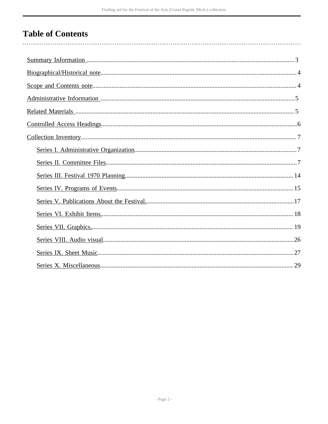# **Table of Contents**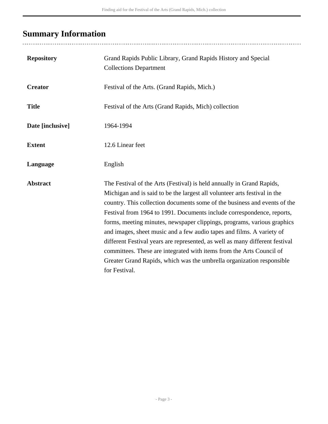# <span id="page-2-0"></span>**Summary Information**

..................................

| <b>Repository</b> | Grand Rapids Public Library, Grand Rapids History and Special<br><b>Collections Department</b>                                                                                                                                                                                                                                                                                                                                                                                                                                                                                                                                                                                                                  |
|-------------------|-----------------------------------------------------------------------------------------------------------------------------------------------------------------------------------------------------------------------------------------------------------------------------------------------------------------------------------------------------------------------------------------------------------------------------------------------------------------------------------------------------------------------------------------------------------------------------------------------------------------------------------------------------------------------------------------------------------------|
| <b>Creator</b>    | Festival of the Arts. (Grand Rapids, Mich.)                                                                                                                                                                                                                                                                                                                                                                                                                                                                                                                                                                                                                                                                     |
| <b>Title</b>      | Festival of the Arts (Grand Rapids, Mich) collection                                                                                                                                                                                                                                                                                                                                                                                                                                                                                                                                                                                                                                                            |
| Date [inclusive]  | 1964-1994                                                                                                                                                                                                                                                                                                                                                                                                                                                                                                                                                                                                                                                                                                       |
| <b>Extent</b>     | 12.6 Linear feet                                                                                                                                                                                                                                                                                                                                                                                                                                                                                                                                                                                                                                                                                                |
| Language          | English                                                                                                                                                                                                                                                                                                                                                                                                                                                                                                                                                                                                                                                                                                         |
| <b>Abstract</b>   | The Festival of the Arts (Festival) is held annually in Grand Rapids,<br>Michigan and is said to be the largest all volunteer arts festival in the<br>country. This collection documents some of the business and events of the<br>Festival from 1964 to 1991. Documents include correspondence, reports,<br>forms, meeting minutes, newspaper clippings, programs, various graphics<br>and images, sheet music and a few audio tapes and films. A variety of<br>different Festival years are represented, as well as many different festival<br>committees. These are integrated with items from the Arts Council of<br>Greater Grand Rapids, which was the umbrella organization responsible<br>for Festival. |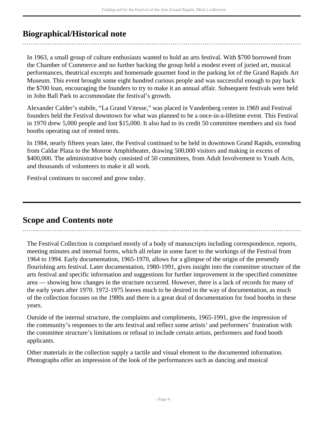## <span id="page-3-0"></span>**Biographical/Historical note**

In 1963, a small group of culture enthusiasts wanted to hold an arts festival. With \$700 borrowed from the Chamber of Commerce and no further backing the group held a modest event of juried art, musical performances, theatrical excerpts and homemade gourmet food in the parking lot of the Grand Rapids Art Museum. This event brought some eight hundred curious people and was successful enough to pay back the \$700 loan, encouraging the founders to try to make it an annual affair. Subsequent festivals were held in John Ball Park to accommodate the festival's growth.

Alexander Calder's stabile, "La Grand Vitesse," was placed in Vandenberg center in 1969 and Festival founders held the Festival downtown for what was planned to be a once-in-a-lifetime event. This Festival in 1970 drew 5,000 people and lost \$15,000. It also had to its credit 50 committee members and six food booths operating out of rented tents.

In 1984, nearly fifteen years later, the Festival continued to be held in downtown Grand Rapids, extending from Caldar Plaza to the Monroe Amphitheater, drawing 500,000 visitors and making in excess of \$400,000. The administrative body consisted of 50 committees, from Adult Involvement to Youth Acts, and thousands of volunteers to make it all work.

Festival continues to succeed and grow today.

### <span id="page-3-1"></span>**Scope and Contents note**

The Festival Collection is comprised mostly of a body of manuscripts including correspondence, reports, meeting minutes and internal forms, which all relate in some facet to the workings of the Festival from 1964 to 1994. Early documentation, 1965-1970, allows for a glimpse of the origin of the presently flourishing arts festival. Later documentation, 1980-1991, gives insight into the committee structure of the arts festival and specific information and suggestions for further improvement in the specified committee area — showing how changes in the structure occurred. However, there is a lack of records for many of the early years after 1970. 1972-1975 leaves much to be desired in the way of documentation, as much of the collection focuses on the 1980s and there is a great deal of documentation for food booths in these years.

Outside of the internal structure, the complaints and compliments, 1965-1991, give the impression of the community's responses to the arts festival and reflect some artists' and performers' frustration with the committee structure's limitations or refusal to include certain artists, performers and food booth applicants.

Other materials in the collection supply a tactile and visual element to the documented information. Photographs offer an impression of the look of the performances such as dancing and musical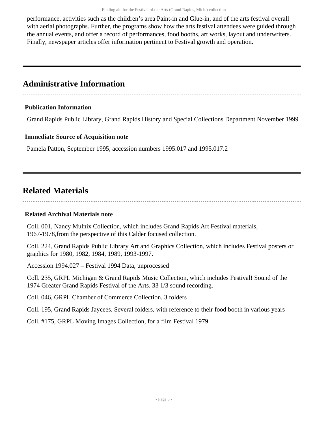performance, activities such as the children's area Paint-in and Glue-in, and of the arts festival overall with aerial photographs. Further, the programs show how the arts festival attendees were guided through the annual events, and offer a record of performances, food booths, art works, layout and underwriters. Finally, newspaper articles offer information pertinent to Festival growth and operation.

### <span id="page-4-0"></span>**Administrative Information**

#### **Publication Information**

Grand Rapids Public Library, Grand Rapids History and Special Collections Department November 1999

#### **Immediate Source of Acquisition note**

Pamela Patton, September 1995, accession numbers 1995.017 and 1995.017.2

### <span id="page-4-1"></span>**Related Materials**

#### **Related Archival Materials note**

Coll. 001, Nancy Mulnix Collection, which includes Grand Rapids Art Festival materials, 1967-1978,from the perspective of this Calder focused collection.

Coll. 224, Grand Rapids Public Library Art and Graphics Collection, which includes Festival posters or graphics for 1980, 1982, 1984, 1989, 1993-1997.

Accession 1994.027 – Festival 1994 Data, unprocessed

Coll. 235, GRPL Michigan & Grand Rapids Music Collection, which includes Festival! Sound of the 1974 Greater Grand Rapids Festival of the Arts. 33 1/3 sound recording.

Coll. 046, GRPL Chamber of Commerce Collection. 3 folders

Coll. 195, Grand Rapids Jaycees. Several folders, with reference to their food booth in various years

Coll. #175, GRPL Moving Images Collection, for a film Festival 1979.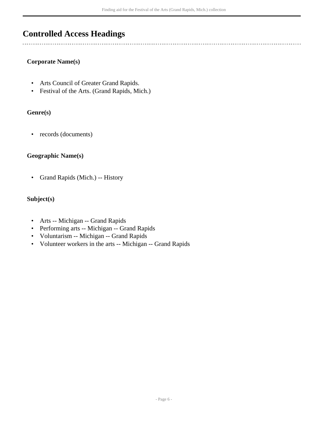### <span id="page-5-0"></span>**Controlled Access Headings**

#### **Corporate Name(s)**

- Arts Council of Greater Grand Rapids.
- Festival of the Arts. (Grand Rapids, Mich.)

#### **Genre(s)**

• records (documents)

#### **Geographic Name(s)**

• Grand Rapids (Mich.) -- History

#### **Subject(s)**

- Arts -- Michigan -- Grand Rapids
- Performing arts -- Michigan -- Grand Rapids
- Voluntarism -- Michigan -- Grand Rapids
- Volunteer workers in the arts -- Michigan -- Grand Rapids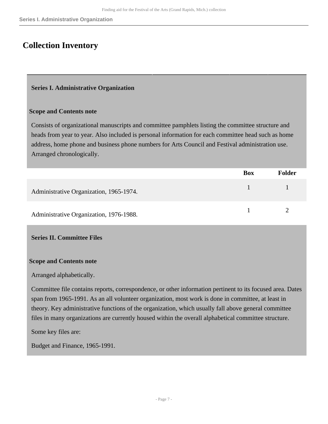### <span id="page-6-0"></span>**Collection Inventory**

#### <span id="page-6-1"></span>**Series I. Administrative Organization**

#### **Scope and Contents note**

Consists of organizational manuscripts and committee pamphlets listing the committee structure and heads from year to year. Also included is personal information for each committee head such as home address, home phone and business phone numbers for Arts Council and Festival administration use. Arranged chronologically.

|                                         | Box | <b>Folder</b> |
|-----------------------------------------|-----|---------------|
| Administrative Organization, 1965-1974. |     |               |
| Administrative Organization, 1976-1988. |     |               |

#### <span id="page-6-2"></span>**Series II. Committee Files**

#### **Scope and Contents note**

#### Arranged alphabetically.

Committee file contains reports, correspondence, or other information pertinent to its focused area. Dates span from 1965-1991. As an all volunteer organization, most work is done in committee, at least in theory. Key administrative functions of the organization, which usually fall above general committee files in many organizations are currently housed within the overall alphabetical committee structure.

Some key files are:

Budget and Finance, 1965-1991.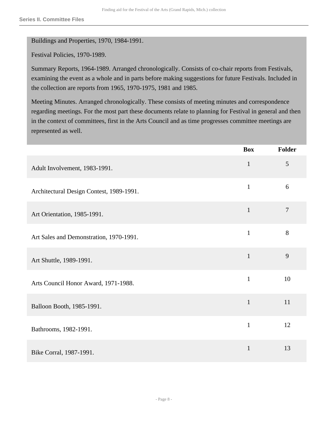#### Buildings and Properties, 1970, 1984-1991.

Festival Policies, 1970-1989.

Summary Reports, 1964-1989. Arranged chronologically. Consists of co-chair reports from Festivals, examining the event as a whole and in parts before making suggestions for future Festivals. Included in the collection are reports from 1965, 1970-1975, 1981 and 1985.

Meeting Minutes. Arranged chronologically. These consists of meeting minutes and correspondence regarding meetings. For the most part these documents relate to planning for Festival in general and then in the context of committees, first in the Arts Council and as time progresses committee meetings are represented as well.

|                                          | <b>Box</b>   | Folder         |
|------------------------------------------|--------------|----------------|
| Adult Involvement, 1983-1991.            | $\mathbf{1}$ | $\mathfrak{S}$ |
| Architectural Design Contest, 1989-1991. | $\mathbf{1}$ | 6              |
| Art Orientation, 1985-1991.              | $\mathbf{1}$ | $\overline{7}$ |
| Art Sales and Demonstration, 1970-1991.  | $\mathbf{1}$ | 8              |
| Art Shuttle, 1989-1991.                  | $\mathbf{1}$ | 9              |
| Arts Council Honor Award, 1971-1988.     | $\mathbf{1}$ | 10             |
| Balloon Booth, 1985-1991.                | $\mathbf{1}$ | 11             |
| Bathrooms, 1982-1991.                    | $\mathbf{1}$ | 12             |
| Bike Corral, 1987-1991.                  | $\mathbf{1}$ | 13             |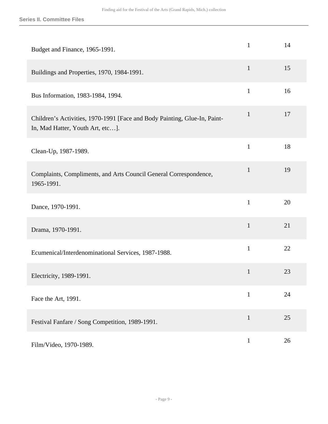| Budget and Finance, 1965-1991.                                                                                | $\mathbf{1}$ | 14 |
|---------------------------------------------------------------------------------------------------------------|--------------|----|
| Buildings and Properties, 1970, 1984-1991.                                                                    | $\mathbf{1}$ | 15 |
| Bus Information, 1983-1984, 1994.                                                                             | $\mathbf{1}$ | 16 |
| Children's Activities, 1970-1991 [Face and Body Painting, Glue-In, Paint-<br>In, Mad Hatter, Youth Art, etc]. | $\mathbf{1}$ | 17 |
| Clean-Up, 1987-1989.                                                                                          | $\mathbf{1}$ | 18 |
| Complaints, Compliments, and Arts Council General Correspondence,<br>1965-1991.                               | $\mathbf{1}$ | 19 |
| Dance, 1970-1991.                                                                                             | $\mathbf{1}$ | 20 |
| Drama, 1970-1991.                                                                                             | $\mathbf{1}$ | 21 |
| Ecumenical/Interdenominational Services, 1987-1988.                                                           | $\mathbf{1}$ | 22 |
| Electricity, 1989-1991.                                                                                       | $\mathbf{1}$ | 23 |
| Face the Art, 1991.                                                                                           | $\mathbf{1}$ | 24 |
| Festival Fanfare / Song Competition, 1989-1991.                                                               | $\mathbf{1}$ | 25 |
| Film/Video, 1970-1989.                                                                                        | $\mathbf{1}$ | 26 |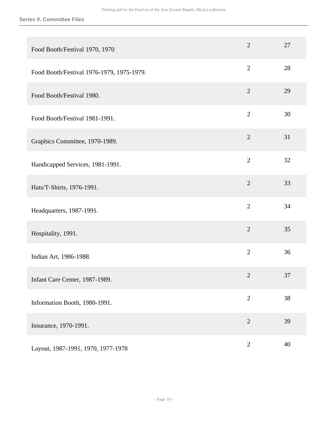#### **Series II. Committee Files**

| Food Booth/Festival 1970, 1970            | $\overline{2}$ | 27 |
|-------------------------------------------|----------------|----|
| Food Booth/Festival 1976-1979, 1975-1979. | $\overline{2}$ | 28 |
| Food Booth/Festival 1980.                 | $\overline{2}$ | 29 |
| Food Booth/Festival 1981-1991.            | $\overline{2}$ | 30 |
| Graphics Committee, 1970-1989.            | $\overline{2}$ | 31 |
| Handicapped Services, 1981-1991.          | $\overline{2}$ | 32 |
| Hats/T-Shirts, 1976-1991.                 | $\overline{2}$ | 33 |
| Headquarters, 1987-1991.                  | $\overline{2}$ | 34 |
| Hospitality, 1991.                        | $\overline{2}$ | 35 |
| Indian Art, 1986-1988.                    | $\overline{2}$ | 36 |
| Infant Care Center, 1987-1989.            | $\mathbf{2}$   | 37 |
| Information Booth, 1980-1991.             | $\overline{2}$ | 38 |
| Insurance, 1970-1991.                     | $\overline{2}$ | 39 |
| Layout, 1987-1991, 1970, 1977-1978        | $\sqrt{2}$     | 40 |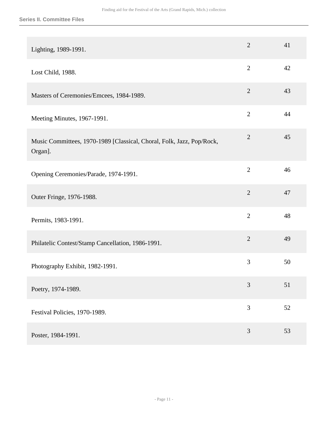| Lighting, 1989-1991.                                                             | $\overline{2}$ | 41 |
|----------------------------------------------------------------------------------|----------------|----|
| Lost Child, 1988.                                                                | $\overline{2}$ | 42 |
| Masters of Ceremonies/Emcees, 1984-1989.                                         | $\overline{2}$ | 43 |
| Meeting Minutes, 1967-1991.                                                      | $\overline{2}$ | 44 |
| Music Committees, 1970-1989 [Classical, Choral, Folk, Jazz, Pop/Rock,<br>Organ]. | $\overline{2}$ | 45 |
| Opening Ceremonies/Parade, 1974-1991.                                            | $\overline{2}$ | 46 |
| Outer Fringe, 1976-1988.                                                         | $\overline{2}$ | 47 |
| Permits, 1983-1991.                                                              | $\overline{2}$ | 48 |
| Philatelic Contest/Stamp Cancellation, 1986-1991.                                | $\overline{2}$ | 49 |
| Photography Exhibit, 1982-1991.                                                  | 3              | 50 |
| Poetry, 1974-1989.                                                               | 3              | 51 |
| Festival Policies, 1970-1989.                                                    | 3              | 52 |
| Poster, 1984-1991.                                                               | 3              | 53 |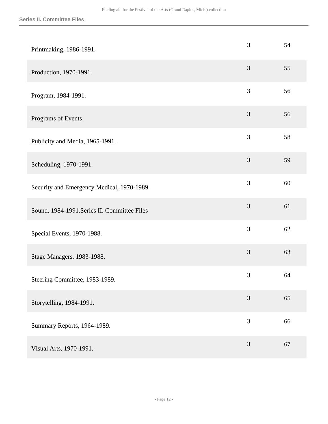| Printmaking, 1986-1991.                      | 3              | 54 |
|----------------------------------------------|----------------|----|
| Production, 1970-1991.                       | $\mathfrak{Z}$ | 55 |
| Program, 1984-1991.                          | $\mathfrak{Z}$ | 56 |
| Programs of Events                           | 3              | 56 |
| Publicity and Media, 1965-1991.              | 3              | 58 |
| Scheduling, 1970-1991.                       | 3              | 59 |
| Security and Emergency Medical, 1970-1989.   | 3              | 60 |
| Sound, 1984-1991. Series II. Committee Files | 3              | 61 |
| Special Events, 1970-1988.                   | 3              | 62 |
| Stage Managers, 1983-1988.                   | 3              | 63 |
| Steering Committee, 1983-1989.               | $\mathfrak{Z}$ | 64 |
| Storytelling, 1984-1991.                     | 3              | 65 |
| Summary Reports, 1964-1989.                  | 3              | 66 |
| Visual Arts, 1970-1991.                      | $\mathfrak{Z}$ | 67 |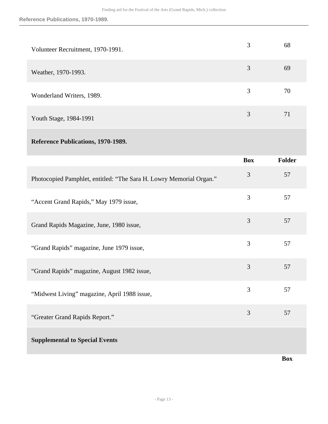| Volunteer Recruitment, 1970-1991. | 3 | 68 |
|-----------------------------------|---|----|
| Weather, 1970-1993.               | 3 | 69 |
| Wonderland Writers, 1989.         | 3 | 70 |
| Youth Stage, 1984-1991            | 3 | 71 |

### **Reference Publications, 1970-1989.**

|                                                                     | <b>Box</b>     | <b>Folder</b> |
|---------------------------------------------------------------------|----------------|---------------|
| Photocopied Pamphlet, entitled: "The Sara H. Lowry Memorial Organ." | 3              | 57            |
| "Accent Grand Rapids," May 1979 issue,                              | 3              | 57            |
| Grand Rapids Magazine, June, 1980 issue,                            | 3              | 57            |
| "Grand Rapids" magazine, June 1979 issue,                           | 3              | 57            |
| "Grand Rapids" magazine, August 1982 issue,                         | 3              | 57            |
| "Midwest Living" magazine, April 1988 issue,                        | $\overline{3}$ | 57            |
| "Greater Grand Rapids Report."                                      | 3              | 57            |
| <b>Supplemental to Special Events</b>                               |                |               |
|                                                                     |                | <b>Box</b>    |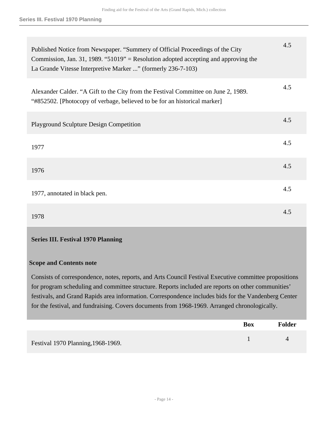| Published Notice from Newspaper. "Summery of Official Proceedings of the City<br>Commission, Jan. 31, 1989. "51019" = Resolution adopted accepting and approving the<br>La Grande Vitesse Interpretive Marker " (formerly 236-7-103) | 4.5 |
|--------------------------------------------------------------------------------------------------------------------------------------------------------------------------------------------------------------------------------------|-----|
| Alexander Calder. "A Gift to the City from the Festival Committee on June 2, 1989.<br>"#852502. [Photocopy of verbage, believed to be for an historical marker]                                                                      | 4.5 |
| <b>Playground Sculpture Design Competition</b>                                                                                                                                                                                       | 4.5 |
| 1977                                                                                                                                                                                                                                 | 4.5 |
| 1976                                                                                                                                                                                                                                 | 4.5 |
| 1977, annotated in black pen.                                                                                                                                                                                                        | 4.5 |
| 1978                                                                                                                                                                                                                                 | 4.5 |

#### <span id="page-13-0"></span>**Series III. Festival 1970 Planning**

#### **Scope and Contents note**

Consists of correspondence, notes, reports, and Arts Council Festival Executive committee propositions for program scheduling and committee structure. Reports included are reports on other communities' festivals, and Grand Rapids area information. Correspondence includes bids for the Vandenberg Center for the festival, and fundraising. Covers documents from 1968-1969. Arranged chronologically.

|                                    | <b>Box</b> | <b>Folder</b> |
|------------------------------------|------------|---------------|
| Festival 1970 Planning, 1968-1969. |            | 4             |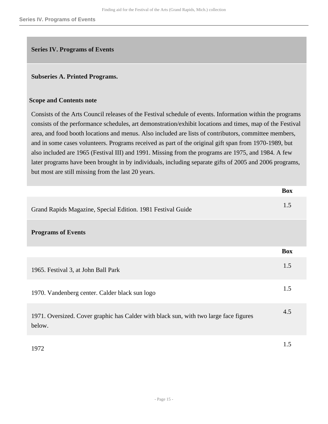#### <span id="page-14-0"></span>**Series IV. Programs of Events**

#### **Subseries A. Printed Programs.**

#### **Scope and Contents note**

Consists of the Arts Council releases of the Festival schedule of events. Information within the programs consists of the performance schedules, art demonstration/exhibit locations and times, map of the Festival area, and food booth locations and menus. Also included are lists of contributors, committee members, and in some cases volunteers. Programs received as part of the original gift span from 1970-1989, but also included are 1965 (Festival III) and 1991. Missing from the programs are 1975, and 1984. A few later programs have been brought in by individuals, including separate gifts of 2005 and 2006 programs, but most are still missing from the last 20 years.

|                                                                                                 | <b>Box</b> |
|-------------------------------------------------------------------------------------------------|------------|
| Grand Rapids Magazine, Special Edition. 1981 Festival Guide                                     | 1.5        |
| <b>Programs of Events</b>                                                                       |            |
|                                                                                                 | <b>Box</b> |
| 1965. Festival 3, at John Ball Park                                                             | 1.5        |
| 1970. Vandenberg center. Calder black sun logo                                                  | 1.5        |
| 1971. Oversized. Cover graphic has Calder with black sun, with two large face figures<br>below. | 4.5        |
| 1972                                                                                            | 1.5        |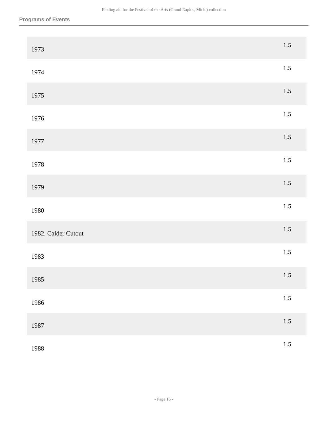| 1973                | $1.5\,$ |
|---------------------|---------|
| 1974                | $1.5\,$ |
| 1975                | $1.5\,$ |
| 1976                | $1.5\,$ |
| 1977                | $1.5\,$ |
| 1978                | $1.5\,$ |
| 1979                | $1.5\,$ |
| 1980                | 1.5     |
| 1982. Calder Cutout | $1.5\,$ |
| 1983                | $1.5\,$ |
| 1985                | 1.5     |
| 1986                | $1.5$   |
| 1987                | $1.5$   |
| 1988                | 1.5     |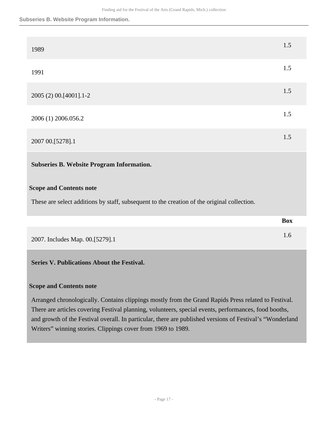#### **Subseries B. Website Program Information.**

| 1989                                                                                        | 1.5        |
|---------------------------------------------------------------------------------------------|------------|
|                                                                                             |            |
| 1991                                                                                        | 1.5        |
|                                                                                             |            |
| 2005 (2) 00.[4001].1-2                                                                      | 1.5        |
|                                                                                             |            |
|                                                                                             | 1.5        |
| 2006 (1) 2006.056.2                                                                         |            |
|                                                                                             | 1.5        |
| 2007 00.[5278].1                                                                            |            |
|                                                                                             |            |
| <b>Subseries B. Website Program Information.</b>                                            |            |
|                                                                                             |            |
| <b>Scope and Contents note</b>                                                              |            |
| These are select additions by staff, subsequent to the creation of the original collection. |            |
|                                                                                             |            |
|                                                                                             | <b>Box</b> |
|                                                                                             | 1.6        |
| 2007. Includes Map. 00.[5279].1                                                             |            |
|                                                                                             |            |
| <b>Series V. Publications About the Festival.</b>                                           |            |
|                                                                                             |            |
| <b>Scope and Contents note</b>                                                              |            |
|                                                                                             |            |

<span id="page-16-0"></span>Arranged chronologically. Contains clippings mostly from the Grand Rapids Press related to Festival. There are articles covering Festival planning, volunteers, special events, performances, food booths, and growth of the Festival overall. In particular, there are published versions of Festival's "Wonderland Writers" winning stories. Clippings cover from 1969 to 1989.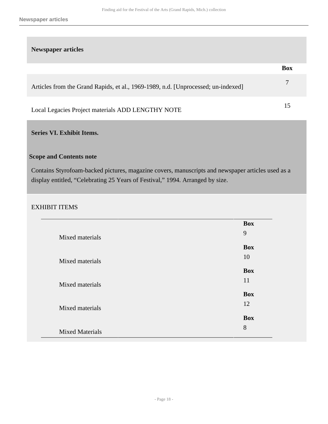#### **Newspaper articles**

|                                                                                   | <b>Box</b> |
|-----------------------------------------------------------------------------------|------------|
| Articles from the Grand Rapids, et al., 1969-1989, n.d. [Unprocessed; un-indexed] |            |
| Local Legacies Project materials ADD LENGTHY NOTE                                 |            |

#### <span id="page-17-0"></span>**Series VI. Exhibit Items.**

#### **Scope and Contents note**

Contains Styrofoam-backed pictures, magazine covers, manuscripts and newspaper articles used as a display entitled, "Celebrating 25 Years of Festival," 1994. Arranged by size.

#### EXHIBIT ITEMS

|                        | <b>Box</b> |
|------------------------|------------|
| Mixed materials        | 9          |
|                        | <b>Box</b> |
|                        | 10         |
| Mixed materials        |            |
|                        | <b>Box</b> |
| Mixed materials        | 11         |
|                        | <b>Box</b> |
| Mixed materials        | 12         |
|                        | <b>Box</b> |
|                        |            |
| <b>Mixed Materials</b> | 8          |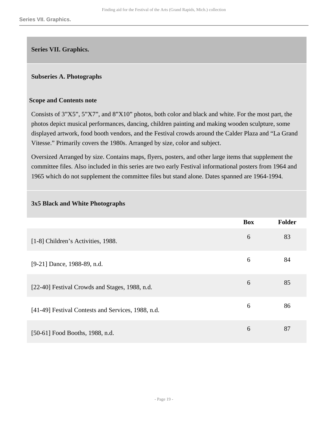#### <span id="page-18-0"></span>**Series VII. Graphics.**

#### **Subseries A. Photographs**

#### **Scope and Contents note**

Consists of 3"X5", 5"X7", and 8"X10" photos, both color and black and white. For the most part, the photos depict musical performances, dancing, children painting and making wooden sculpture, some displayed artwork, food booth vendors, and the Festival crowds around the Calder Plaza and "La Grand Vitesse." Primarily covers the 1980s. Arranged by size, color and subject.

Oversized Arranged by size. Contains maps, flyers, posters, and other large items that supplement the committee files. Also included in this series are two early Festival informational posters from 1964 and 1965 which do not supplement the committee files but stand alone. Dates spanned are 1964-1994.

#### **3x5 Black and White Photographs**

|                                                    | <b>Box</b> | <b>Folder</b> |
|----------------------------------------------------|------------|---------------|
| [1-8] Children's Activities, 1988.                 | 6          | 83            |
| [9-21] Dance, 1988-89, n.d.                        | 6          | 84            |
| [22-40] Festival Crowds and Stages, 1988, n.d.     | 6          | 85            |
| [41-49] Festival Contests and Services, 1988, n.d. | 6          | 86            |
| [50-61] Food Booths, 1988, n.d.                    | 6          | 87            |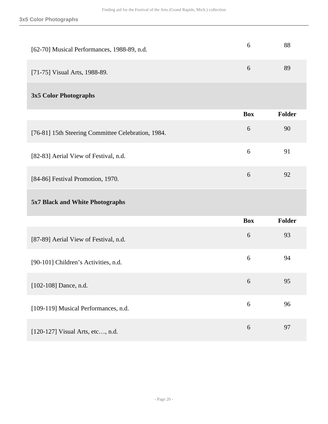| [62-70] Musical Performances, 1988-89, n.d.        | 6          | 88            |
|----------------------------------------------------|------------|---------------|
| [71-75] Visual Arts, 1988-89.                      | 6          | 89            |
| 3x5 Color Photographs                              |            |               |
|                                                    | <b>Box</b> | Folder        |
| [76-81] 15th Steering Committee Celebration, 1984. | 6          | 90            |
| [82-83] Aerial View of Festival, n.d.              | 6          | 91            |
| [84-86] Festival Promotion, 1970.                  | 6          | 92            |
| 5x7 Black and White Photographs                    |            |               |
|                                                    | <b>Box</b> | <b>Folder</b> |
| [87-89] Aerial View of Festival, n.d.              | 6          | 93            |
| [90-101] Children's Activities, n.d.               | 6          | 94            |
| [102-108] Dance, n.d.                              | 6          | 95            |
| [109-119] Musical Performances, n.d.               | $\sqrt{6}$ | 96            |
|                                                    |            |               |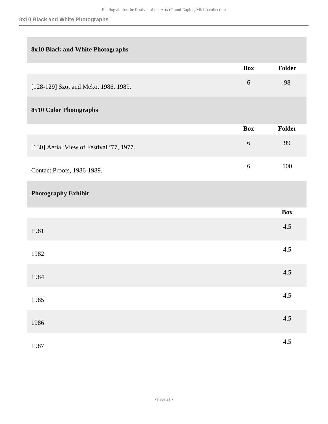| 8x10 Black and White Photographs         |            |            |
|------------------------------------------|------------|------------|
|                                          | <b>Box</b> | Folder     |
| [128-129] Szot and Meko, 1986, 1989.     | 6          | 98         |
| <b>8x10 Color Photographs</b>            |            |            |
|                                          | <b>Box</b> | Folder     |
| [130] Aerial View of Festival '77, 1977. | 6          | 99         |
| Contact Proofs, 1986-1989.               | 6          | 100        |
| <b>Photography Exhibit</b>               |            |            |
|                                          |            | <b>Box</b> |
| 1981                                     |            | 4.5        |
| 1982                                     |            | 4.5        |
| 1984                                     |            | 4.5        |
| 1985                                     |            | 4.5        |
| 1986                                     |            | 4.5        |
| 1987                                     |            | 4.5        |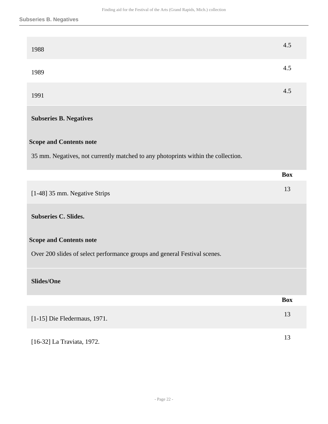| 1988                                                                              | 4.5        |
|-----------------------------------------------------------------------------------|------------|
| 1989                                                                              | 4.5        |
| 1991                                                                              | 4.5        |
| <b>Subseries B. Negatives</b>                                                     |            |
| <b>Scope and Contents note</b>                                                    |            |
| 35 mm. Negatives, not currently matched to any photoprints within the collection. |            |
|                                                                                   | <b>Box</b> |
| [1-48] 35 mm. Negative Strips                                                     | 13         |
| <b>Subseries C. Slides.</b>                                                       |            |
|                                                                                   |            |
| <b>Scope and Contents note</b>                                                    |            |
| Over 200 slides of select performance groups and general Festival scenes.         |            |
| <b>Slides/One</b>                                                                 |            |
|                                                                                   | <b>Box</b> |
| [1-15] Die Fledermaus, 1971.                                                      | 13         |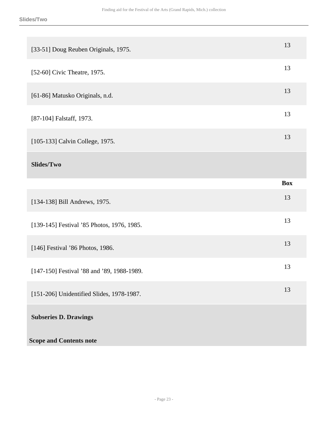| [33-51] Doug Reuben Originals, 1975.       | 13         |
|--------------------------------------------|------------|
| [52-60] Civic Theatre, 1975.               | 13         |
| [61-86] Matusko Originals, n.d.            | 13         |
| [87-104] Falstaff, 1973.                   | 13         |
| [105-133] Calvin College, 1975.            | 13         |
| Slides/Two                                 |            |
|                                            | <b>Box</b> |
| [134-138] Bill Andrews, 1975.              | 13         |
| [139-145] Festival '85 Photos, 1976, 1985. | 13         |
|                                            |            |
| [146] Festival '86 Photos, 1986.           | 13         |
| [147-150] Festival '88 and '89, 1988-1989. | 13         |
| [151-206] Unidentified Slides, 1978-1987.  | 13         |
| <b>Subseries D. Drawings</b>               |            |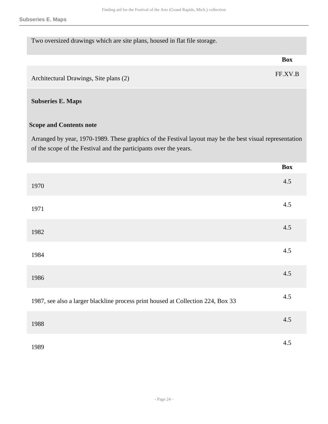Two oversized drawings which are site plans, housed in flat file storage.

#### **Box**

Architectural Drawings, Site plans (2) FF.XV.B

#### **Subseries E. Maps**

#### **Scope and Contents note**

Arranged by year, 1970-1989. These graphics of the Festival layout may be the best visual representation of the scope of the Festival and the participants over the years.

|                                                                                  | <b>Box</b> |
|----------------------------------------------------------------------------------|------------|
| 1970                                                                             | 4.5        |
| 1971                                                                             | 4.5        |
| 1982                                                                             | 4.5        |
| 1984                                                                             | 4.5        |
| 1986                                                                             | 4.5        |
| 1987, see also a larger blackline process print housed at Collection 224, Box 33 | 4.5        |
| 1988                                                                             | 4.5        |
| 1989                                                                             | 4.5        |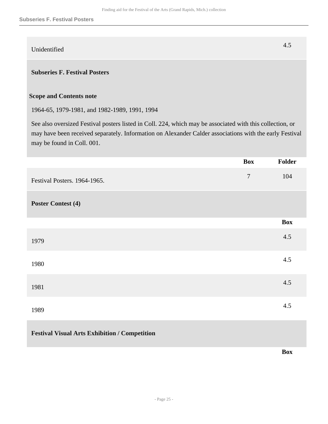# Unidentified 4.5

#### **Subseries F. Festival Posters**

#### **Scope and Contents note**

1964-65, 1979-1981, and 1982-1989, 1991, 1994

See also oversized Festival posters listed in Coll. 224, which may be associated with this collection, or may have been received separately. Information on Alexander Calder associations with the early Festival may be found in Coll. 001.

|                                                      | <b>Box</b>     | Folder     |
|------------------------------------------------------|----------------|------------|
| Festival Posters. 1964-1965.                         | $\overline{7}$ | 104        |
| <b>Poster Contest (4)</b>                            |                |            |
|                                                      |                | <b>Box</b> |
| 1979                                                 |                | 4.5        |
| 1980                                                 |                | 4.5        |
| 1981                                                 |                | 4.5        |
| 1989                                                 |                | 4.5        |
| <b>Festival Visual Arts Exhibition / Competition</b> |                |            |

**Box**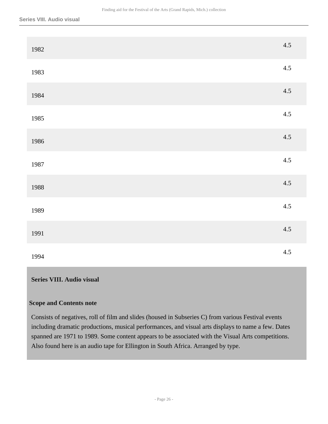| 1982 | 4.5 |
|------|-----|
| 1983 | 4.5 |
| 1984 | 4.5 |
| 1985 | 4.5 |
| 1986 | 4.5 |
| 1987 | 4.5 |
| 1988 | 4.5 |
| 1989 | 4.5 |
| 1991 | 4.5 |
| 1994 | 4.5 |

#### <span id="page-25-0"></span>**Series VIII. Audio visual**

#### **Scope and Contents note**

Consists of negatives, roll of film and slides (housed in Subseries C) from various Festival events including dramatic productions, musical performances, and visual arts displays to name a few. Dates spanned are 1971 to 1989. Some content appears to be associated with the Visual Arts competitions. Also found here is an audio tape for Ellington in South Africa. Arranged by type.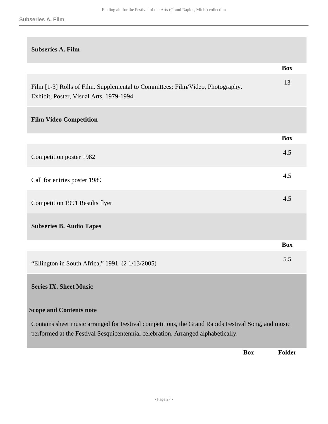<span id="page-26-0"></span>

| <b>Subseries A. Film</b>                                                                                                                                                               |            |               |
|----------------------------------------------------------------------------------------------------------------------------------------------------------------------------------------|------------|---------------|
|                                                                                                                                                                                        |            | <b>Box</b>    |
| Film [1-3] Rolls of Film. Supplemental to Committees: Film/Video, Photography.<br>Exhibit, Poster, Visual Arts, 1979-1994.                                                             |            | 13            |
| <b>Film Video Competition</b>                                                                                                                                                          |            |               |
|                                                                                                                                                                                        |            | <b>Box</b>    |
| Competition poster 1982                                                                                                                                                                |            | 4.5           |
| Call for entries poster 1989                                                                                                                                                           |            | 4.5           |
| Competition 1991 Results flyer                                                                                                                                                         |            | 4.5           |
| <b>Subseries B. Audio Tapes</b>                                                                                                                                                        |            |               |
|                                                                                                                                                                                        |            | <b>Box</b>    |
| "Ellington in South Africa," 1991. (2 1/13/2005)                                                                                                                                       |            | 5.5           |
| <b>Series IX. Sheet Music</b>                                                                                                                                                          |            |               |
| <b>Scope and Contents note</b>                                                                                                                                                         |            |               |
| Contains sheet music arranged for Festival competitions, the Grand Rapids Festival Song, and music<br>performed at the Festival Sesquicentennial celebration. Arranged alphabetically. |            |               |
|                                                                                                                                                                                        | <b>Box</b> | <b>Folder</b> |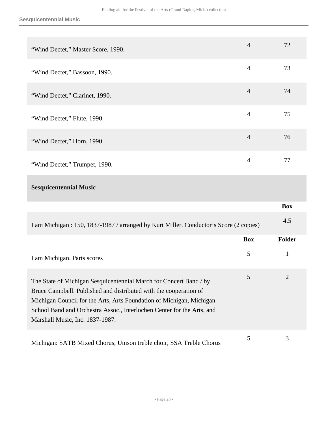| "Wind Dectet," Master Score, 1990.                                                                                                                                                                                                                                                                                           | $\overline{4}$ | 72             |
|------------------------------------------------------------------------------------------------------------------------------------------------------------------------------------------------------------------------------------------------------------------------------------------------------------------------------|----------------|----------------|
| "Wind Dectet," Bassoon, 1990.                                                                                                                                                                                                                                                                                                | $\overline{4}$ | 73             |
| "Wind Dectet," Clarinet, 1990.                                                                                                                                                                                                                                                                                               | $\overline{4}$ | 74             |
| "Wind Dectet," Flute, 1990.                                                                                                                                                                                                                                                                                                  | $\overline{4}$ | 75             |
| "Wind Dectet," Horn, 1990.                                                                                                                                                                                                                                                                                                   | $\overline{4}$ | 76             |
| "Wind Dectet," Trumpet, 1990.                                                                                                                                                                                                                                                                                                | $\overline{4}$ | 77             |
| <b>Sesquicentennial Music</b>                                                                                                                                                                                                                                                                                                |                |                |
|                                                                                                                                                                                                                                                                                                                              |                | <b>Box</b>     |
| I am Michigan : 150, 1837-1987 / arranged by Kurt Miller. Conductor's Score (2 copies)                                                                                                                                                                                                                                       |                | 4.5            |
|                                                                                                                                                                                                                                                                                                                              |                |                |
|                                                                                                                                                                                                                                                                                                                              | <b>Box</b>     | Folder         |
| I am Michigan. Parts scores                                                                                                                                                                                                                                                                                                  | 5              | $\mathbf{1}$   |
| The State of Michigan Sesquicentennial March for Concert Band / by<br>Bruce Campbell. Published and distributed with the cooperation of<br>Michigan Council for the Arts, Arts Foundation of Michigan, Michigan<br>School Band and Orchestra Assoc., Interlochen Center for the Arts, and<br>Marshall Music, Inc. 1837-1987. | 5              | $\overline{2}$ |